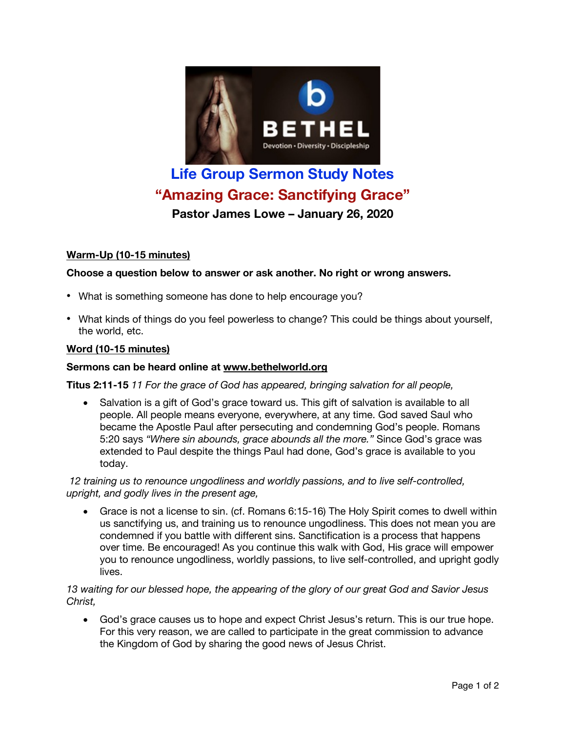

# **Life Group Sermon Study Notes "Amazing Grace: Sanctifying Grace"**

**Pastor James Lowe – January 26, 2020**

# **Warm-Up (10-15 minutes)**

# **Choose a question below to answer or ask another. No right or wrong answers.**

- What is something someone has done to help encourage you?
- What kinds of things do you feel powerless to change? This could be things about yourself, the world, etc.

## **Word (10-15 minutes)**

### **Sermons can be heard online at www.bethelworld.org**

**Titus 2:11-15** *11 For the grace of God has appeared, bringing salvation for all people,*

• Salvation is a gift of God's grace toward us. This gift of salvation is available to all people. All people means everyone, everywhere, at any time. God saved Saul who became the Apostle Paul after persecuting and condemning God's people. Romans 5:20 says *"Where sin abounds, grace abounds all the more."* Since God's grace was extended to Paul despite the things Paul had done, God's grace is available to you today.

*12 training us to renounce ungodliness and worldly passions, and to live self-controlled, upright, and godly lives in the present age,*

• Grace is not a license to sin. (cf. Romans 6:15-16) The Holy Spirit comes to dwell within us sanctifying us, and training us to renounce ungodliness. This does not mean you are condemned if you battle with different sins. Sanctification is a process that happens over time. Be encouraged! As you continue this walk with God, His grace will empower you to renounce ungodliness, worldly passions, to live self-controlled, and upright godly lives.

#### *13 waiting for our blessed hope, the appearing of the glory of our great God and Savior Jesus Christ,*

• God's grace causes us to hope and expect Christ Jesus's return. This is our true hope. For this very reason, we are called to participate in the great commission to advance the Kingdom of God by sharing the good news of Jesus Christ.